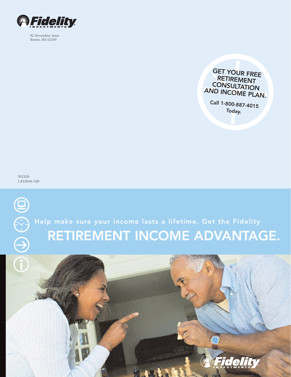

82 Devonshire Street Boston, MA 02109



# Help make sure your income lasts a lifetime. Get the Fidelity RETIREMENT INCOME ADVANTAGE.

**CONSULTATION** AND INCOME PLAN. Call 1-800-887-4015 Today.

GET YOUR FREE RETIREMENT

392206 1.810646.100

 $\boldsymbol{\Xi}$ 

 $\bigoplus$ 

 $\overline{G}$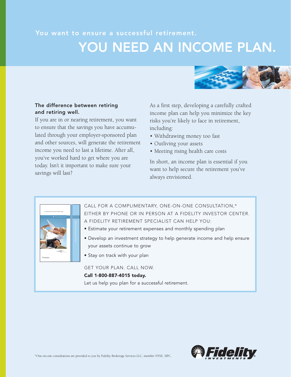## You want to ensure a successful retirement. YOU NEED AN INCOME PLAN.



## The difference between retiring and retiring well.

If you are in or nearing retirement, you want to ensure that the savings you have accumulated through your employer-sponsored plan and other sources, will generate the retirement income you need to last a lifetime. After all, you've worked hard to get where you are today. Isn't it important to make sure your savings will last?

As a first step, developing a carefully crafted income plan can help you minimize the key risks you're likely to face in retirement, including:

- Withdrawing money too fast
- Outliving your assets
- Meeting rising health care costs

In short, an income plan is essential if you want to help secure the retirement you've always envisioned.



CALL FOR A COMPLIMENTARY, ONE-ON-ONE CONSULTATION,\* EITHER BY PHONE OR IN PERSON AT A FIDELITY INVESTOR CENTER. A FIDELITY RETIREMENT SPECIALIST CAN HELP YOU:

- Estimate your retirement expenses and monthly spending plan
- Develop an investment strategy to help generate income and help ensure your assets continue to grow
- Stay on track with your plan

GET YOUR PLAN. CALL NOW.

#### Call 1-800-887-4015 today.

Let us help you plan for a successful retirement.

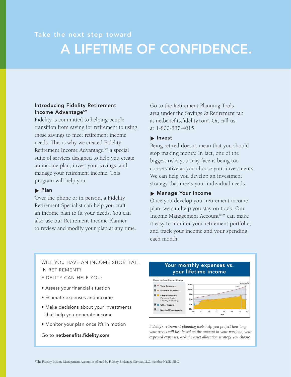## Take the next step toward A LIFETIME OF CONFIDENCE.

### Introducing Fidelity Retirement Income Advantage<sup>sM</sup>

Fidelity is committed to helping people transition from saving for retirement to using those savings to meet retirement income needs. This is why we created Fidelity Retirement Income Advantage,  $s$ <sup>M</sup> a special suite of services designed to help you create an income plan, invest your savings, and manage your retirement income. This program will help you:

### $\blacktriangleright$  Plan

Over the phone or in person, a Fidelity Retirement Specialist can help you craft an income plan to fit your needs. You can also use our Retirement Income Planner to review and modify your plan at any time. Go to the Retirement Planning Tools area under the Savings & Retirement tab at netbenefits.fidelity.com. Or, call us at 1-800-887-4015.

### Invest

Being retired doesn't mean that you should stop making money. In fact, one of the biggest risks you may face is being too conservative as you choose your investments. We can help you develop an investment strategy that meets your individual needs.

### Manage Your Income

Once you develop your retirement income plan, we can help you stay on track. Our Income Management Account<sup>SM\*</sup> can make it easy to monitor your retirement portfolio, and track your income and your spending each month.

WILL YOU HAVE AN INCOME SHORTFALL IN RETIREMENT? FIDELITY CAN HELP YOU:

- Assess your financial situation
- Estimate expenses and income
- Make decisions about your investments that help you generate income
- Monitor your plan once it's in motion

Go to netbenefits.fidelity.com.



*Fidelity's retirement planning tools help you project how long your assets will last based on the amount in your portfolio, your expected expenses, and the asset allocation strategy you choose.*